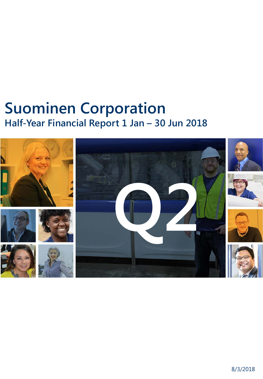# **Suominen Corporation Half-Year Financial Report 1 Jan – 30 Jun 2018**

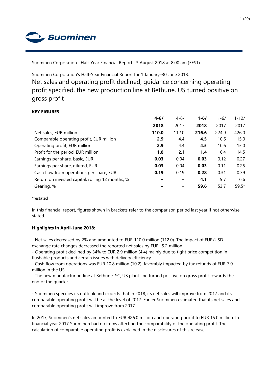Suominen

Suominen Corporation Half-Year Financial Report 3 August 2018 at 8:00 am (EEST)

Suominen Corporation's Half-Year Financial Report for 1 January–30 June 2018:

Net sales and operating profit declined, guidance concerning operating profit specified, the new production line at Bethune, US turned positive on gross profit

## **KEY FIGURES**

|                                                  | $4 - 6/$ | $4 - 6/$ | $1 - 6/$ | 1-6/  | $1 - 12/$ |
|--------------------------------------------------|----------|----------|----------|-------|-----------|
|                                                  | 2018     | 2017     | 2018     | 2017  | 2017      |
| Net sales, EUR million                           | 110.0    | 112.0    | 216.6    | 224.9 | 426.0     |
| Comparable operating profit, EUR million         | 2.9      | 4.4      | 4.5      | 10.6  | 15.0      |
| Operating profit, EUR million                    | 2.9      | 4.4      | 4.5      | 10.6  | 15.0      |
| Profit for the period, EUR million               | 1.8      | 2.1      | 1.4      | 6.4   | 14.5      |
| Earnings per share, basic, EUR                   | 0.03     | 0.04     | 0.03     | 0.12  | 0.27      |
| Earnings per share, diluted, EUR                 | 0.03     | 0.04     | 0.03     | 0.11  | 0.25      |
| Cash flow from operations per share, EUR         | 0.19     | 0.19     | 0.28     | 0.31  | 0.39      |
| Return on invested capital, rolling 12 months, % |          |          | 4.1      | 9.7   | 6.6       |
| Gearing, %                                       |          | -        | 59.6     | 53.7  | $59.5*$   |

\*restated

In this financial report, figures shown in brackets refer to the comparison period last year if not otherwise stated.

## **Highlights in April-June 2018:**

- Net sales decreased by 2% and amounted to EUR 110.0 million (112.0). The impact of EUR/USD exchange rate changes decreased the reported net sales by EUR -5.2 million.

- Operating profit declined by 34% to EUR 2.9 million (4.4) mainly due to tight price competition in flushable products and certain issues with delivery efficiency.

- Cash flow from operations was EUR 10.8 million (10.2), favorably impacted by tax refunds of EUR 7.0 million in the US.

- The new manufacturing line at Bethune, SC, US plant line turned positive on gross profit towards the end of the quarter.

- Suominen specifies its outlook and expects that in 2018, its net sales will improve from 2017 and its comparable operating profit will be at the level of 2017. Earlier Suominen estimated that its net sales and comparable operating profit will improve from 2017.

In 2017, Suominen's net sales amounted to EUR 426.0 million and operating profit to EUR 15.0 million. In financial year 2017 Suominen had no items affecting the comparability of the operating profit. The calculation of comparable operating profit is explained in the disclosures of this release.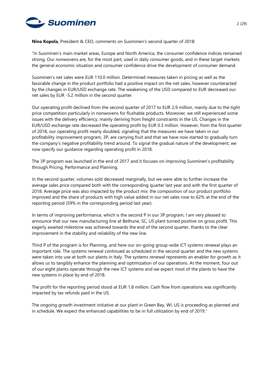

**Nina Kopola**, President & CEO, comments on Suominen's second quarter of 2018:

"In Suominen's main market areas, Europe and North America, the consumer confidence indices remained strong. Our nonwovens are, for the most part, used in daily consumer goods, and in these target markets the general economic situation and consumer confidence drive the development of consumer demand.

Suominen's net sales were EUR 110.0 million. Determined measures taken in pricing as well as the favorable change in the product portfolio had a positive impact on the net sales, however counteracted by the changes in EUR/USD exchange rate. The weakening of the USD compared to EUR decreased our net sales by EUR -5.2 million in the second quarter.

Our operating profit declined from the second quarter of 2017 to EUR 2.9 million, mainly due to the tight price competition particularly in nonwovens for flushable products. Moreover, we still experienced some issues with the delivery efficiency, mainly deriving from freight constraints in the US. Changes in the EUR/USD exchange rate decreased the operating profit by EUR 0.3 million. However, from the first quarter of 2018, our operating profit nearly doubled, signaling that the measures we have taken in our profitability improvement program, 3P, are carrying fruit and that we have now started to gradually turn the company's negative profitability trend around. To signal the gradual nature of the development, we now specify our guidance regarding operating profit in 2018.

The 3P program was launched in the end of 2017 and it focuses on improving Suominen's profitability through Pricing, Performance and Planning.

In the second quarter, volumes sold decreased marginally, but we were able to further increase the average sales price compared both with the corresponding quarter last year and with the first quarter of 2018. Average price was also impacted by the product mix: the composition of our product portfolio improved and the share of products with high value added in our net sales rose to 62% at the end of the reporting period (59% in the corresponding period last year).

In terms of improving performance, which is the second P in our 3P program, I am very pleased to announce that our new manufacturing line at Bethune, SC, US plant turned positive on gross profit. This eagerly awaited milestone was achieved towards the end of the second quarter, thanks to the clear improvement in the stability and reliability of the new line.

Third P of the program is for Planning, and here our on-going group-wide ICT systems renewal plays an important role. The systems renewal continued as scheduled in the second quarter and the new systems were taken into use at both our plants in Italy. The systems renewal represents an enabler for growth as it allows us to tangibly enhance the planning and optimization of our operations. At the moment, four out of our eight plants operate through the new ICT systems and we expect most of the plants to have the new systems in place by end of 2018.

The profit for the reporting period stood at EUR 1.8 million. Cash flow from operations was significantly impacted by tax refunds paid in the US.

The ongoing growth investment initiative at our plant in Green Bay, WI, US is proceeding as planned and in schedule. We expect the enhanced capabilities to be in full utilization by end of 2019."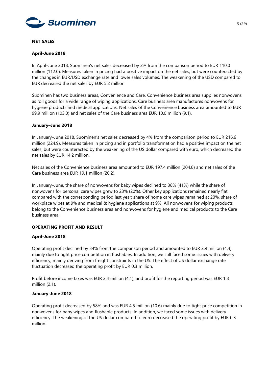

#### **NET SALES**

## **April-June 2018**

In April-June 2018, Suominen's net sales decreased by 2% from the comparison period to EUR 110.0 million (112.0). Measures taken in pricing had a positive impact on the net sales, but were counteracted by the changes in EUR/USD exchange rate and lower sales volumes. The weakening of the USD compared to EUR decreased the net sales by EUR 5.2 million.

Suominen has two business areas, Convenience and Care. Convenience business area supplies nonwovens as roll goods for a wide range of wiping applications. Care business area manufactures nonwovens for hygiene products and medical applications. Net sales of the Convenience business area amounted to EUR 99.9 million (103.0) and net sales of the Care business area EUR 10.0 million (9.1).

#### **January–June 2018**

In January–June 2018, Suominen's net sales decreased by 4% from the comparison period to EUR 216.6 million (224.9). Measures taken in pricing and in portfolio transformation had a positive impact on the net sales, but were counteracted by the weakening of the US dollar compared with euro, which decreased the net sales by EUR 14.2 million.

Net sales of the Convenience business area amounted to EUR 197.4 million (204.8) and net sales of the Care business area EUR 19.1 million (20.2).

In January–June, the share of nonwovens for baby wipes declined to 38% (41%) while the share of nonwovens for personal care wipes grew to 23% (20%). Other key applications remained nearly flat compared with the corresponding period last year: share of home care wipes remained at 20%, share of workplace wipes at 9% and medical & hygiene applications at 9%. All nonwovens for wiping products belong to the Convenience business area and nonwovens for hygiene and medical products to the Care business area.

## **OPERATING PROFIT AND RESULT**

#### **April-June 2018**

Operating profit declined by 34% from the comparison period and amounted to EUR 2.9 million (4.4), mainly due to tight price competition in flushables. In addition, we still faced some issues with delivery efficiency, mainly deriving from freight constraints in the US. The effect of US dollar exchange rate fluctuation decreased the operating profit by EUR 0.3 million.

Profit before income taxes was EUR 2.4 million (4.1), and profit for the reporting period was EUR 1.8 million (2.1).

#### **January-June 2018**

Operating profit decreased by 58% and was EUR 4.5 million (10.6) mainly due to tight price competition in nonwovens for baby wipes and flushable products. In addition, we faced some issues with delivery efficiency. The weakening of the US dollar compared to euro decreased the operating profit by EUR 0.3 million.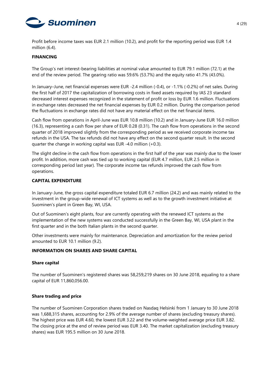

Profit before income taxes was EUR 2.1 million (10.2), and profit for the reporting period was EUR 1.4 million (6.4).

## **FINANCING**

The Group's net interest-bearing liabilities at nominal value amounted to EUR 79.1 million (72.1) at the end of the review period. The gearing ratio was 59.6% (53.7%) and the equity ratio 41.7% (43.0%).

In January–June, net financial expenses were EUR -2.4 million (-0.4), or -1.1% (-0.2%) of net sales. During the first half of 2017 the capitalization of borrowing costs in fixed assets required by IAS 23 standard decreased interest expenses recognized in the statement of profit or loss by EUR 1.6 million. Fluctuations in exchange rates decreased the net financial expenses by EUR 0.2 million. During the comparison period the fluctuations in exchange rates did not have any material effect on the net financial items.

Cash flow from operations in April-June was EUR 10.8 million (10.2) and in January-June EUR 16.0 million (16.3), representing a cash flow per share of EUR 0.28 (0.31). The cash flow from operations in the second quarter of 2018 improved slightly from the corresponding period as we received corporate income tax refunds in the USA. The tax refunds did not have any effect on the second quarter result. In the second quarter the change in working capital was EUR -4.0 million (+0.3).

The slight decline in the cash flow from operations in the first half of the year was mainly due to the lower profit. In addition, more cash was tied up to working capital (EUR 4.7 million, EUR 2.5 million in corresponding period last year). The corporate income tax refunds improved the cash flow from operations.

#### **CAPITAL EXPENDITURE**

In January-June, the gross capital expenditure totaled EUR 6.7 million (24.2) and was mainly related to the investment in the group-wide renewal of ICT systems as well as to the growth investment initiative at Suominen's plant in Green Bay, WI, USA.

Out of Suominen's eight plants, four are currently operating with the renewed ICT systems as the implementation of the new systems was conducted successfully in the Green Bay, WI, USA plant in the first quarter and in the both Italian plants in the second quarter.

Other investments were mainly for maintenance. Depreciation and amortization for the review period amounted to EUR 10.1 million (9.2).

#### **INFORMATION ON SHARES AND SHARE CAPITAL**

#### **Share capital**

The number of Suominen's registered shares was 58,259,219 shares on 30 June 2018, equaling to a share capital of EUR 11,860,056.00.

#### **Share trading and price**

The number of Suominen Corporation shares traded on Nasdaq Helsinki from 1 January to 30 June 2018 was 1,688,315 shares, accounting for 2.9% of the average number of shares (excluding treasury shares). The highest price was EUR 4.60, the lowest EUR 3.22 and the volume-weighted average price EUR 3.82. The closing price at the end of review period was EUR 3.40. The market capitalization (excluding treasury shares) was EUR 195.5 million on 30 June 2018.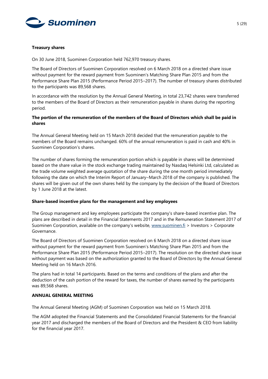

#### **Treasury shares**

On 30 June 2018, Suominen Corporation held 762,970 treasury shares.

The Board of Directors of Suominen Corporation resolved on 6 March 2018 on a directed share issue without payment for the reward payment from Suominen's Matching Share Plan 2015 and from the Performance Share Plan 2015 (Performance Period 2015–2017). The number of treasury shares distributed to the participants was 89,568 shares.

In accordance with the resolution by the Annual General Meeting, in total 23,742 shares were transferred to the members of the Board of Directors as their remuneration payable in shares during the reporting period.

## **The portion of the remuneration of the members of the Board of Directors which shall be paid in shares**

The Annual General Meeting held on 15 March 2018 decided that the remuneration payable to the members of the Board remains unchanged. 60% of the annual remuneration is paid in cash and 40% in Suominen Corporation's shares.

The number of shares forming the remuneration portion which is payable in shares will be determined based on the share value in the stock exchange trading maintained by Nasdaq Helsinki Ltd, calculated as the trade volume weighted average quotation of the share during the one month period immediately following the date on which the Interim Report of January–March 2018 of the company is published. The shares will be given out of the own shares held by the company by the decision of the Board of Directors by 1 June 2018 at the latest.

## **Share-based incentive plans for the management and key employees**

The Group management and key employees participate the company's share-based incentive plan. The plans are described in detail in the Financial Statements 2017 and in the Remuneration Statement 2017 of Suominen Corporation, available on the company's website, [www.suominen.fi](http://www.suominen.fi/) > Investors > Corporate Governance.

The Board of Directors of Suominen Corporation resolved on 6 March 2018 on a directed share issue without payment for the reward payment from Suominen's Matching Share Plan 2015 and from the Performance Share Plan 2015 (Performance Period 2015–2017). The resolution on the directed share issue without payment was based on the authorization granted to the Board of Directors by the Annual General Meeting held on 16 March 2016.

The plans had in total 14 participants. Based on the terms and conditions of the plans and after the deduction of the cash portion of the reward for taxes, the number of shares earned by the participants was 89,568 shares.

## **ANNUAL GENERAL MEETING**

The Annual General Meeting (AGM) of Suominen Corporation was held on 15 March 2018.

The AGM adopted the Financial Statements and the Consolidated Financial Statements for the financial year 2017 and discharged the members of the Board of Directors and the President & CEO from liability for the financial year 2017.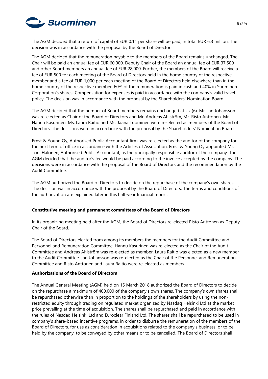

The AGM decided that a return of capital of EUR 0.11 per share will be paid, in total EUR 6.3 million. The decision was in accordance with the proposal by the Board of Directors.

The AGM decided that the remuneration payable to the members of the Board remains unchanged. The Chair will be paid an annual fee of EUR 60,000, Deputy Chair of the Board an annual fee of EUR 37,500 and other Board members an annual fee of EUR 28,000. Further, the members of the Board will receive a fee of EUR 500 for each meeting of the Board of Directors held in the home country of the respective member and a fee of EUR 1,000 per each meeting of the Board of Directors held elsewhere than in the home country of the respective member. 60% of the remuneration is paid in cash and 40% in Suominen Corporation's shares. Compensation for expenses is paid in accordance with the company's valid travel policy. The decision was in accordance with the proposal by the Shareholders' Nomination Board.

The AGM decided that the number of Board members remains unchanged at six (6). Mr. Jan Johansson was re-elected as Chair of the Board of Directors and Mr. Andreas Ahlström, Mr. Risto Anttonen, Mr. Hannu Kasurinen, Ms. Laura Raitio and Ms. Jaana Tuominen were re-elected as members of the Board of Directors. The decisions were in accordance with the proposal by the Shareholders' Nomination Board.

Ernst & Young Oy, Authorised Public Accountant firm, was re-elected as the auditor of the company for the next term of office in accordance with the Articles of Association. Ernst & Young Oy appointed Mr. Toni Halonen, Authorised Public Accountant, as the principally responsible auditor of the company. The AGM decided that the auditor's fee would be paid according to the invoice accepted by the company. The decisions were in accordance with the proposal of the Board of Directors and the recommendation by the Audit Committee.

The AGM authorized the Board of Directors to decide on the repurchase of the company's own shares. The decision was in accordance with the proposal by the Board of Directors. The terms and conditions of the authorization are explained later in this half-year financial report.

## **Constitutive meeting and permanent committees of the Board of Directors**

In its organizing meeting held after the AGM, the Board of Directors re-elected Risto Anttonen as Deputy Chair of the Board.

The Board of Directors elected from among its members the members for the Audit Committee and Personnel and Remuneration Committee. Hannu Kasurinen was re-elected as the Chair of the Audit Committee and Andreas Ahlström was re-elected as member. Laura Raitio was elected as a new member to the Audit Committee. Jan Johansson was re-elected as the Chair of the Personnel and Remuneration Committee and Risto Anttonen and Laura Raitio were re-elected as members.

#### **Authorizations of the Board of Directors**

The Annual General Meeting (AGM) held on 15 March 2018 authorized the Board of Directors to decide on the repurchase a maximum of 400,000 of the company's own shares. The company's own shares shall be repurchased otherwise than in proportion to the holdings of the shareholders by using the nonrestricted equity through trading on regulated market organized by Nasdaq Helsinki Ltd at the market price prevailing at the time of acquisition. The shares shall be repurchased and paid in accordance with the rules of Nasdaq Helsinki Ltd and Euroclear Finland Ltd. The shares shall be repurchased to be used in company's share-based incentive programs, in order to disburse the remuneration of the members of the Board of Directors, for use as consideration in acquisitions related to the company's business, or to be held by the company, to be conveyed by other means or to be cancelled. The Board of Directors shall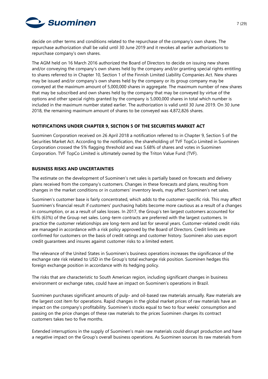

decide on other terms and conditions related to the repurchase of the company's own shares. The repurchase authorization shall be valid until 30 June 2019 and it revokes all earlier authorizations to repurchase company's own shares.

The AGM held on 16 March 2016 authorized the Board of Directors to decide on issuing new shares and/or conveying the company's own shares held by the company and/or granting special rights entitling to shares referred to in Chapter 10, Section 1 of the Finnish Limited Liability Companies Act. New shares may be issued and/or company's own shares held by the company or its group company may be conveyed at the maximum amount of 5,000,000 shares in aggregate. The maximum number of new shares that may be subscribed and own shares held by the company that may be conveyed by virtue of the options and other special rights granted by the company is 5,000,000 shares in total which number is included in the maximum number stated earlier. The authorization is valid until 30 June 2019. On 30 June 2018, the remaining maximum amount of shares to be conveyed was 4,872,826 shares.

## **NOTIFICATIONS UNDER CHAPTER 9, SECTION 5 OF THE SECURITIES MARKET ACT**

Suominen Corporation received on 26 April 2018 a notification referred to in Chapter 9, Section 5 of the Securities Market Act. According to the notification, the shareholding of TVF TopCo Limited in Suominen Corporation crossed the 5% flagging threshold and was 5.68% of shares and votes in Suominen Corporation. TVF TopCo Limited is ultimately owned by the Triton Value Fund (TVF).

## **BUSINESS RISKS AND UNCERTAINTIES**

The estimate on the development of Suominen's net sales is partially based on forecasts and delivery plans received from the company's customers. Changes in these forecasts and plans, resulting from changes in the market conditions or in customers' inventory levels, may affect Suominen's net sales.

Suominen's customer base is fairly concentrated, which adds to the customer-specific risk. This may affect Suominen's financial result if customers' purchasing habits become more cautious as a result of a changes in consumption, or as a result of sales losses. In 2017, the Group's ten largest customers accounted for 63% (63%) of the Group net sales. Long-term contracts are preferred with the largest customers. In practice the customer relationships are long-term and last for several years. Customer-related credit risks are managed in accordance with a risk policy approved by the Board of Directors. Credit limits are confirmed for customers on the basis of credit ratings and customer history. Suominen also uses export credit guarantees and insures against customer risks to a limited extent.

The relevance of the United States in Suominen's business operations increases the significance of the exchange rate risk related to USD in the Group's total exchange risk position. Suominen hedges this foreign exchange position in accordance with its hedging policy.

The risks that are characteristic to South American region, including significant changes in business environment or exchange rates, could have an impact on Suominen's operations in Brazil.

Suominen purchases significant amounts of pulp- and oil-based raw materials annually. Raw materials are the largest cost item for operations. Rapid changes in the global market prices of raw materials have an impact on the company's profitability. Suominen's stocks equal to two to four weeks' consumption and passing on the price changes of these raw materials to the prices Suominen charges its contract customers takes two to five months.

Extended interruptions in the supply of Suominen's main raw materials could disrupt production and have a negative impact on the Group's overall business operations. As Suominen sources its raw materials from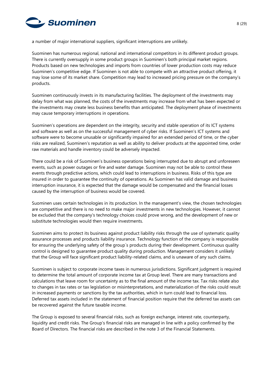

a number of major international suppliers, significant interruptions are unlikely.

Suominen has numerous regional, national and international competitors in its different product groups. There is currently oversupply in some product groups in Suominen's both principal market regions. Products based on new technologies and imports from countries of lower production costs may reduce Suominen's competitive edge. If Suominen is not able to compete with an attractive product offering, it may lose some of its market share. Competition may lead to increased pricing pressure on the company's products.

Suominen continuously invests in its manufacturing facilities. The deployment of the investments may delay from what was planned, the costs of the investments may increase from what has been expected or the investments may create less business benefits than anticipated. The deployment phase of investments may cause temporary interruptions in operations.

Suominen's operations are dependent on the integrity, security and stable operation of its ICT systems and software as well as on the successful management of cyber risks. If Suominen's ICT systems and software were to become unusable or significantly impaired for an extended period of time, or the cyber risks are realized, Suominen's reputation as well as ability to deliver products at the appointed time, order raw materials and handle inventory could be adversely impacted.

There could be a risk of Suominen's business operations being interrupted due to abrupt and unforeseen events, such as power outages or fire and water damage. Suominen may not be able to control these events through predictive actions, which could lead to interruptions in business. Risks of this type are insured in order to guarantee the continuity of operations. As Suominen has valid damage and business interruption insurance, it is expected that the damage would be compensated and the financial losses caused by the interruption of business would be covered.

Suominen uses certain technologies in its production. In the management's view, the chosen technologies are competitive and there is no need to make major investments in new technologies. However, it cannot be excluded that the company's technology choices could prove wrong, and the development of new or substitute technologies would then require investments.

Suominen aims to protect its business against product liability risks through the use of systematic quality assurance processes and products liability insurance. Technology function of the company is responsible for ensuring the underlying safety of the group´s products during their development. Continuous quality control is designed to guarantee product quality during production. Management considers it unlikely that the Group will face significant product liability-related claims, and is unaware of any such claims.

Suominen is subject to corporate income taxes in numerous jurisdictions. Significant judgment is required to determine the total amount of corporate income tax at Group level. There are many transactions and calculations that leave room for uncertainty as to the final amount of the income tax. Tax risks relate also to changes in tax rates or tax legislation or misinterpretations, and materialization of the risks could result in increased payments or sanctions by the tax authorities, which in turn could lead to financial loss. Deferred tax assets included in the statement of financial position require that the deferred tax assets can be recovered against the future taxable income.

The Group is exposed to several financial risks, such as foreign exchange, interest rate, counterparty, liquidity and credit risks. The Group's financial risks are managed in line with a policy confirmed by the Board of Directors. The financial risks are described in the note 3 of the Financial Statements.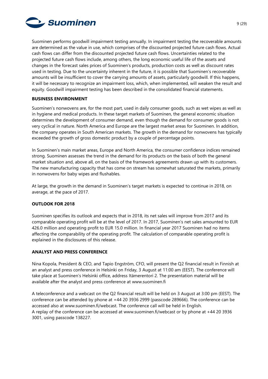

Suominen performs goodwill impairment testing annually. In impairment testing the recoverable amounts are determined as the value in use, which comprises of the discounted projected future cash flows. Actual cash flows can differ from the discounted projected future cash flows. Uncertainties related to the projected future cash flows include, among others, the long economic useful life of the assets and changes in the forecast sales prices of Suominen's products, production costs as well as discount rates used in testing. Due to the uncertainty inherent in the future, it is possible that Suominen's recoverable amounts will be insufficient to cover the carrying amounts of assets, particularly goodwill. If this happens, it will be necessary to recognize an impairment loss, which, when implemented, will weaken the result and equity. Goodwill impairment testing has been described in the consolidated financial statements.

## **BUSINESS ENVIRONMENT**

Suominen's nonwovens are, for the most part, used in daily consumer goods, such as wet wipes as well as in hygiene and medical products. In these target markets of Suominen, the general economic situation determines the development of consumer demand, even though the demand for consumer goods is not very cyclical in nature. North America and Europe are the largest market areas for Suominen. In addition, the company operates in South American markets. The growth in the demand for nonwovens has typically exceeded the growth of gross domestic product by a couple of percentage points.

In Suominen's main market areas, Europe and North America, the consumer confidence indices remained strong. Suominen assesses the trend in the demand for its products on the basis of both the general market situation and, above all, on the basis of the framework agreements drawn up with its customers. The new manufacturing capacity that has come on stream has somewhat saturated the markets, primarily in nonwovens for baby wipes and flushables.

At large, the growth in the demand in Suominen's target markets is expected to continue in 2018, on average, at the pace of 2017.

## **OUTLOOK FOR 2018**

Suominen specifies its outlook and expects that in 2018, its net sales will improve from 2017 and its comparable operating profit will be at the level of 2017. In 2017, Suominen's net sales amounted to EUR 426.0 million and operating profit to EUR 15.0 million. In financial year 2017 Suominen had no items affecting the comparability of the operating profit. The calculation of comparable operating profit is explained in the disclosures of this release.

## **ANALYST AND PRESS CONFERENCE**

Nina Kopola, President & CEO, and Tapio Engström, CFO, will present the Q2 financial result in Finnish at an analyst and press conference in Helsinki on Friday, 3 August at 11:00 am (EEST). The conference will take place at Suominen's Helsinki office, address Itämerentori 2. The presentation material will be available after the analyst and press conference at [www.suominen.fi](http://www.suominen.fi/)

A teleconference and a webcast on the Q2 financial result will be held on 3 August at 3:00 pm (EEST). The conference can be attended by phone at +44 20 3936 2999 (passcode 289666). The conference can be accessed also at [www.suominen.fi/webcast.](https://www.globenewswire.com/Tracker?data=zbjp-thFy6h6ExEZKxqg3iWOHwXf5iKVRoFBFoJ_itOsoeWRvrWnchsfQByWrw3puKemQTzfA3vM0jQNm77zElDRIzI8h-cCbKtpg34BCEo=) The conference call will be held in English. A replay of the conference can be accessed at [www.suominen.fi/webcast](https://www.globenewswire.com/Tracker?data=zbjp-thFy6h6ExEZKxqg3iWOHwXf5iKVRoFBFoJ_itOxQr9xuoU-fneQkHUYtISgKNQNI87P7SIwXwZ2tmrSOj5mluldDqdrWGYHEPUIbFk=) or by phone at +44 20 3936 3001, using passcode 138227.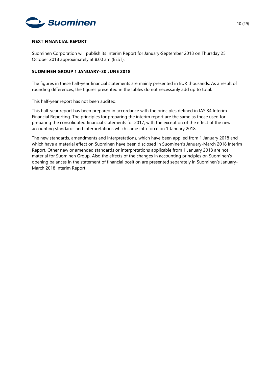

#### **NEXT FINANCIAL REPORT**

Suominen Corporation will publish its Interim Report for January-September 2018 on Thursday 25 October 2018 approximately at 8:00 am (EEST).

## **SUOMINEN GROUP 1 JANUARY–30 JUNE 2018**

The figures in these half-year financial statements are mainly presented in EUR thousands. As a result of rounding differences, the figures presented in the tables do not necessarily add up to total.

This half-year report has not been audited.

This half-year report has been prepared in accordance with the principles defined in IAS 34 Interim Financial Reporting. The principles for preparing the interim report are the same as those used for preparing the consolidated financial statements for 2017, with the exception of the effect of the new accounting standards and interpretations which came into force on 1 January 2018.

The new standards, amendments and interpretations, which have been applied from 1 January 2018 and which have a material effect on Suominen have been disclosed in Suominen's January-March 2018 Interim Report. Other new or amended standards or interpretations applicable from 1 January 2018 are not material for Suominen Group. Also the effects of the changes in accounting principles on Suominen's opening balances in the statement of financial position are presented separately in Suominen's January-March 2018 Interim Report.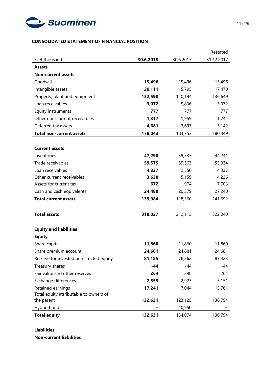

## **CONSOLIDATED STATEMENT OF FINANCIAL POSITION**

|                                          |           |           | Restated   |
|------------------------------------------|-----------|-----------|------------|
| <b>EUR thousand</b>                      | 30.6.2018 | 30.6.2017 | 31.12.2017 |
| <b>Assets</b>                            |           |           |            |
| <b>Non-current assets</b>                |           |           |            |
| Goodwill                                 | 15,496    | 15,496    | 15,496     |
| Intangible assets                        | 20,111    | 15,795    | 17,470     |
| Property, plant and equipment            | 132,590   | 140,194   | 136,649    |
| Loan receivables                         | 3,072     | 5,836     | 3,072      |
| Equity instruments                       | 777       | 777       | 777        |
| Other non-current receivables            | 1,317     | 1,959     | 1,744      |
| Deferred tax assets                      | 4,681     | 3,697     | 5,142      |
| <b>Total non-current assets</b>          | 178,043   | 183,753   | 180,349    |
|                                          |           |           |            |
| <b>Current assets</b>                    |           |           |            |
| Inventories                              | 47,290    | 39,735    | 44,241     |
| Trade receivables                        | 59,575    | 59,563    | 53,934     |
| Loan receivables                         | 4,337     | 2,550     | 4,337      |
| Other current receivables                | 3,630     | 5,159     | 4,236      |
| Assets for current tax                   | 672       | 974       | 7,703      |
| Cash and cash equivalents                | 24,480    | 20,379    | 27,240     |
| <b>Total current assets</b>              | 139,984   | 128,360   | 141,692    |
|                                          |           |           |            |
| <b>Total assets</b>                      | 318,027   | 312,113   | 322,040    |
|                                          |           |           |            |
| <b>Equity and liabilities</b>            |           |           |            |
| <b>Equity</b>                            |           |           |            |
| Share capital                            | 11,860    | 11,860    | 11,860     |
| Share premium account                    | 24,681    | 24,681    | 24,681     |
| Reserve for invested unrestricted equity | 81,185    | 76,262    | 87,423     |
| Treasury shares                          | $-44$     | -44       | -44        |
| Fair value and other reserves            | 264       | 398       | 264        |
| Exchange differences                     | $-2,555$  | 2,923     | $-3,151$   |
| Retained earnings                        | 17,241    | 7,044     | 15,761     |
| Total equity attributable to owners of   |           |           |            |
| the parent                               | 132,631   | 123,125   | 136,794    |
| Hybrid bond                              |           | 10,950    |            |
| <b>Total equity</b>                      | 132,631   | 134,074   | 136,794    |

#### **Liabilities**

**Non-current liabilities**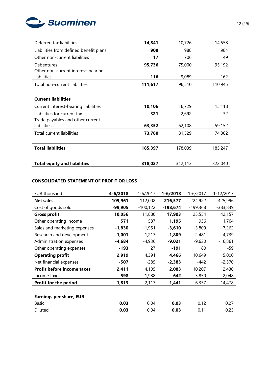

| Deferred tax liabilities                                        | 14,841  | 10,726  | 14,558  |
|-----------------------------------------------------------------|---------|---------|---------|
| Liabilities from defined benefit plans                          | 908     | 988     | 984     |
| Other non-current liabilities                                   | 17      | 706     | 49      |
| Debentures                                                      | 95,736  | 75,000  | 95,192  |
| Other non-current interest-bearing<br>liabilities               | 116     | 9,089   | 162     |
| Total non-current liabilities                                   | 111,617 | 96,510  | 110,945 |
| <b>Current liabilities</b>                                      |         |         |         |
| Current interest-bearing liabilities                            | 10,106  | 16,729  | 15,118  |
| Liabilities for current tax<br>Trade payables and other current | 321     | 2,692   | 32      |
| liabilities                                                     | 63,352  | 62,108  | 59,152  |
| Total current liabilities                                       | 73,780  | 81,529  | 74,302  |
| <b>Total liabilities</b>                                        | 185,397 | 178,039 | 185,247 |
| <b>Total equity and liabilities</b>                             | 318,027 | 312,113 | 322,040 |

## **CONSOLIDATED STATEMENT OF PROFIT OR LOSS**

| <b>EUR thousand</b>               | 4-6/2018 | 4-6/2017    | 1-6/2018   | $1 - 6/2017$ | 1-12/2017  |
|-----------------------------------|----------|-------------|------------|--------------|------------|
| <b>Net sales</b>                  | 109,961  | 112,002     | 216,577    | 224,922      | 425,996    |
| Cost of goods sold                | -99,905  | $-100, 122$ | $-198,674$ | $-199,368$   | $-383,839$ |
| <b>Gross profit</b>               | 10,056   | 11,880      | 17,903     | 25,554       | 42,157     |
| Other operating income            | 571      | 587         | 1,195      | 936          | 1,764      |
| Sales and marketing expenses      | $-1,830$ | $-1,951$    | $-3,610$   | $-3,809$     | $-7,262$   |
| Research and development          | $-1,001$ | $-1,217$    | $-1,809$   | $-2,481$     | $-4,739$   |
| Administration expenses           | $-4,684$ | $-4,936$    | $-9,021$   | $-9,630$     | $-16,861$  |
| Other operating expenses          | $-193$   | 27          | $-191$     | 80           | -59        |
| <b>Operating profit</b>           | 2,919    | 4,391       | 4,466      | 10,649       | 15,000     |
| Net financial expenses            | -507     | $-285$      | $-2,383$   | -442         | $-2,570$   |
| <b>Profit before income taxes</b> | 2,411    | 4,105       | 2,083      | 10,207       | 12,430     |
| Income taxes                      | $-598$   | $-1,988$    | $-642$     | $-3,850$     | 2,048      |
| Profit for the period             | 1,813    | 2,117       | 1,441      | 6,357        | 14,478     |
|                                   |          |             |            |              |            |
| <b>Earnings per share, EUR</b>    |          |             |            |              |            |
| Basic                             | 0.03     | 0.04        | 0.03       | 0.12         | 0.27       |
| Diluted                           | 0.03     | 0.04        | 0.03       | 0.11         | 0.25       |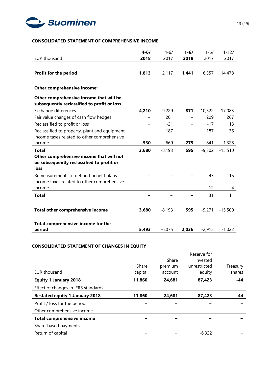

# **CONSOLIDATED STATEMENT OF COMPREHENSIVE INCOME**

|                                                                                               | $4 - 6/$ | $4 - 6/$ | $1 - 6/$ | $1 - 6/$  | $1 - 12/$ |
|-----------------------------------------------------------------------------------------------|----------|----------|----------|-----------|-----------|
| <b>EUR thousand</b>                                                                           | 2018     | 2017     | 2018     | 2017      | 2017      |
| <b>Profit for the period</b>                                                                  | 1,813    | 2,117    | 1,441    | 6,357     | 14,478    |
| Other comprehensive income:                                                                   |          |          |          |           |           |
| Other comprehensive income that will be<br>subsequently reclassified to profit or loss        |          |          |          |           |           |
| Exchange differences                                                                          | 4,210    | $-9,229$ | 871      | $-10,522$ | $-17,083$ |
| Fair value changes of cash flow hedges                                                        |          | 201      |          | 209       | 267       |
| Reclassified to profit or loss                                                                |          | $-21$    |          | $-17$     | 13        |
| Reclassified to property, plant and equipment<br>Income taxes related to other comprehensive  |          | 187      |          | 187       | $-35$     |
| income                                                                                        | $-530$   | 669      | $-275$   | 841       | 1,328     |
| <b>Total</b>                                                                                  | 3,680    | $-8,193$ | 595      | $-9,302$  | $-15,510$ |
| Other comprehensive income that will not<br>be subsequently reclassified to profit or<br>loss |          |          |          |           |           |
| Remeasurements of defined benefit plans<br>Income taxes related to other comprehensive        |          |          |          | 43        | 15        |
| income                                                                                        |          |          |          | $-12$     | -4        |
| <b>Total</b>                                                                                  |          |          |          | 31        | 11        |
| <b>Total other comprehensive income</b>                                                       | 3,680    | $-8,193$ | 595      | $-9,271$  | $-15,500$ |
| Total comprehensive income for the<br>period                                                  | 5,493    | $-6,075$ | 2,036    | $-2,915$  | $-1,022$  |

## **CONSOLIDATED STATEMENT OF CHANGES IN EQUITY**

|                                       |         |         | Reserve for  |          |
|---------------------------------------|---------|---------|--------------|----------|
|                                       |         | Share   | invested     |          |
|                                       | Share   | premium | unrestricted | Treasury |
| EUR thousand                          | capital | account | equity       | shares   |
| <b>Equity 1 January 2018</b>          | 11,860  | 24,681  | 87,423       | -44      |
| Effect of changes in IFRS standards   |         |         |              |          |
| <b>Restated equity 1 January 2018</b> | 11,860  | 24,681  | 87,423       | -44      |
| Profit / loss for the period          |         |         |              |          |
| Other comprehensive income            |         |         |              |          |
| <b>Total comprehensive income</b>     |         |         |              |          |
| Share-based payments                  |         |         |              |          |
| Return of capital                     |         |         | $-6,322$     |          |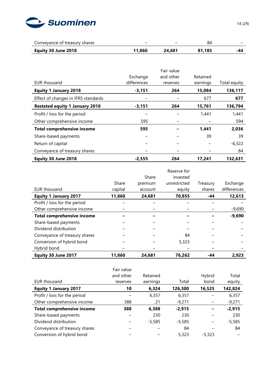

| Conveyance of treasury shares | -      | -      | 84     | -   |
|-------------------------------|--------|--------|--------|-----|
| Equity 30 June 2018           | 11.860 | 24.681 | 81.185 | -44 |

|                                       |             | Fair value |          |              |
|---------------------------------------|-------------|------------|----------|--------------|
|                                       | Exchange    | and other  | Retained |              |
| EUR thousand                          | differences | reserves   | earnings | Total equity |
| <b>Equity 1 January 2018</b>          | $-3,151$    | 264        | 15,084   | 136,117      |
| Effect of changes in IFRS standards   |             |            | 677      | 677          |
| <b>Restated equity 1 January 2018</b> | $-3,151$    | 264        | 15,761   | 136,794      |
| Profit / loss for the period          |             |            | 1,441    | 1,441        |
| Other comprehensive income            | 595         |            |          | 594          |
| <b>Total comprehensive income</b>     | 595         |            | 1,441    | 2,036        |
| Share-based payments                  |             |            | 39       | 39           |
| Return of capital                     |             |            |          | $-6,322$     |
| Conveyance of treasury shares         |             |            |          | 84           |
| Equity 30 June 2018                   | $-2,555$    | 264        | 17,241   | 132,631      |

|                                   |         |         | Reserve for  |          |             |
|-----------------------------------|---------|---------|--------------|----------|-------------|
|                                   |         | Share   | invested     |          |             |
|                                   | Share   | premium | unrestricted | Treasury | Exchange    |
| EUR thousand                      | capital | account | equity       | shares   | differences |
| <b>Equity 1 January 2017</b>      | 11,860  | 24,681  | 70,855       | -44      | 12,613      |
| Profit / loss for the period      |         |         |              |          |             |
| Other comprehensive income        |         |         |              |          | $-9,690$    |
| <b>Total comprehensive income</b> |         |         |              |          | $-9,690$    |
| Share-based payments              |         |         |              |          |             |
| Dividend distribution             |         |         |              |          |             |
| Conveyance of treasury shares     |         |         | 84           |          |             |
| Conversion of hybrid bond         |         |         | 5,323        |          |             |
| Hybrid bond                       |         |         |              |          |             |
| Equity 30 June 2017               | 11,860  | 24,681  | 76,262       | -44      | 2,923       |

| EUR thousand                      | Fair value<br>and other<br>reserves | Retained<br>earnings | Total    | Hybrid<br>bond | Total<br>equity |
|-----------------------------------|-------------------------------------|----------------------|----------|----------------|-----------------|
| <b>Equity 1 January 2017</b>      | 10                                  | 6,324                | 126,300  | 16,525         | 142,824         |
| Profit / loss for the period      |                                     | 6,357                | 6,357    |                | 6,357           |
| Other comprehensive income        | 388                                 | 31,                  | $-9,271$ |                | $-9,271$        |
| <b>Total comprehensive income</b> | 388                                 | 6,388                | $-2,915$ |                | $-2,915$        |
| Share-based payments              |                                     | 230                  | 230      |                | 230             |
| Dividend distribution             |                                     | $-5,585$             | $-5,585$ |                | $-5,585$        |
| Conveyance of treasury shares     |                                     |                      | 84       |                | 84              |
| Conversion of hybrid bond         |                                     |                      | 5,323    | $-5.323$       |                 |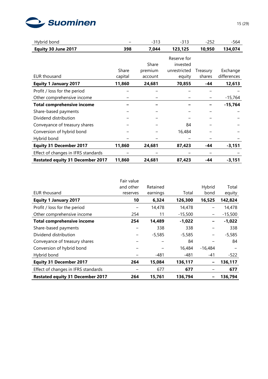

| Hybrid bond                             |         | $-313$  | $-313$       | $-252$   | -564        |
|-----------------------------------------|---------|---------|--------------|----------|-------------|
| Equity 30 June 2017                     | 398     | 7,044   | 123,125      | 10,950   | 134,074     |
|                                         |         |         | Reserve for  |          |             |
|                                         |         | Share   | invested     |          |             |
|                                         | Share   | premium | unrestricted | Treasury | Exchange    |
| <b>EUR thousand</b>                     | capital | account | equity       | shares   | differences |
| <b>Equity 1 January 2017</b>            | 11,860  | 24,681  | 70,855       | -44      | 12,613      |
| Profit / loss for the period            |         |         |              |          |             |
| Other comprehensive income              |         |         |              |          | $-15,764$   |
| <b>Total comprehensive income</b>       |         |         |              |          | $-15,764$   |
| Share-based payments                    |         |         |              |          |             |
| Dividend distribution                   |         |         |              |          |             |
| Conveyance of treasury shares           |         |         | 84           |          |             |
| Conversion of hybrid bond               |         |         | 16,484       |          |             |
| Hybrid bond                             |         |         |              |          |             |
| <b>Equity 31 December 2017</b>          | 11,860  | 24,681  | 87,423       | -44      | $-3,151$    |
| Effect of changes in IFRS standards     |         |         |              |          |             |
| <b>Restated equity 31 December 2017</b> | 11,860  | 24,681  | 87,423       | -44      | $-3,151$    |

|                                         | Fair value |          |           |                          |           |
|-----------------------------------------|------------|----------|-----------|--------------------------|-----------|
|                                         | and other  | Retained |           | Hybrid                   | Total     |
| <b>EUR thousand</b>                     | reserves   | earnings | Total     | bond                     | equity    |
| <b>Equity 1 January 2017</b>            | 10         | 6,324    | 126,300   | 16,525                   | 142,824   |
| Profit / loss for the period            |            | 14,478   | 14,478    |                          | 14,478    |
| Other comprehensive income              | 254        | 11       | $-15,500$ | $\overline{\phantom{0}}$ | $-15,500$ |
| <b>Total comprehensive income</b>       | 254        | 14,489   | $-1,022$  |                          | $-1,022$  |
| Share-based payments                    |            | 338      | 338       |                          | 338       |
| Dividend distribution                   |            | $-5,585$ | $-5,585$  | -                        | $-5,585$  |
| Conveyance of treasury shares           |            |          | 84        |                          | 84        |
| Conversion of hybrid bond               |            |          | 16,484    | $-16,484$                |           |
| Hybrid bond                             |            | $-481$   | -481      | $-41$                    | -522      |
| <b>Equity 31 December 2017</b>          | 264        | 15,084   | 136,117   | -                        | 136,117   |
| Effect of changes in IFRS standards     |            | 677      | 677       |                          | 677       |
| <b>Restated equity 31 December 2017</b> | 264        | 15,761   | 136,794   |                          | 136,794   |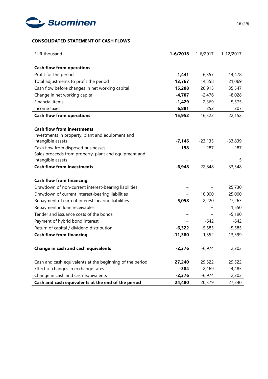

## **CONSOLIDATED STATEMENT OF CASH FLOWS**

| <b>EUR thousand</b>                                      | $1 - 6/2018$ | $1 - 6/2017$ | 1-12/2017 |
|----------------------------------------------------------|--------------|--------------|-----------|
|                                                          |              |              |           |
| <b>Cash flow from operations</b>                         |              |              |           |
| Profit for the period                                    | 1,441        | 6,357        | 14,478    |
| Total adjustments to profit the period                   | 13,767       | 14,558       | 21,069    |
| Cash flow before changes in net working capital          | 15,208       | 20,915       | 35,547    |
| Change in net working capital                            | $-4,707$     | $-2,476$     | $-8,028$  |
| <b>Financial items</b>                                   | $-1,429$     | $-2,369$     | $-5,575$  |
| Income taxes                                             | 6,881        | 252          | 207       |
| <b>Cash flow from operations</b>                         | 15,952       | 16,322       | 22,152    |
|                                                          |              |              |           |
| <b>Cash flow from investments</b>                        |              |              |           |
| Investments in property, plant and equipment and         |              |              |           |
| intangible assets                                        | $-7,146$     | $-23,135$    | $-33,839$ |
| Cash flow from disposed businesses                       | 198          | 287          | 287       |
| Sales proceeds from property, plant and equipment and    |              |              |           |
| intangible assets                                        |              |              | 5         |
| <b>Cash flow from investments</b>                        | $-6,948$     | $-22,848$    | $-33,548$ |
| <b>Cash flow from financing</b>                          |              |              |           |
|                                                          |              |              | 25,730    |
| Drawdown of non-current interest-bearing liabilities     |              |              |           |
| Drawdown of current interest-bearing liabilities         |              | 10,000       | 25,000    |
| Repayment of current interest-bearing liabilities        | $-5,058$     | $-2,220$     | $-27,263$ |
| Repayment in loan receivables                            |              |              | 1,550     |
| Tender and issuance costs of the bonds                   |              |              | $-5,190$  |
| Payment of hybrid bond interest                          |              | -642         | $-642$    |
| Return of capital / dividend distribution                | $-6,322$     | $-5,585$     | $-5,585$  |
| <b>Cash flow from financing</b>                          | $-11,380$    | 1,552        | 13,599    |
|                                                          |              |              |           |
| Change in cash and cash equivalents                      | $-2,376$     | $-6,974$     | 2,203     |
| Cash and cash equivalents at the beginning of the period | 27,240       | 29,522       | 29,522    |
| Effect of changes in exchange rates                      | -384         | $-2,169$     | $-4,485$  |
|                                                          |              |              | 2,203     |
| Change in cash and cash equivalents                      | $-2,376$     | $-6,974$     |           |
| Cash and cash equivalents at the end of the period       | 24,480       | 20,379       | 27,240    |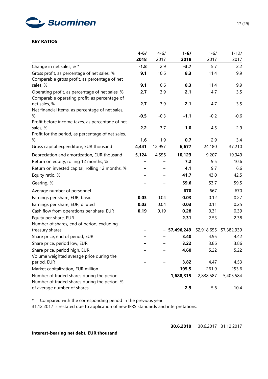

#### **KEY RATIOS**

|                                                                                                  | $4 - 6/$ | $4 - 6/$ | $1 - 6/$   | $1 - 6/$   | $1 - 12/$  |
|--------------------------------------------------------------------------------------------------|----------|----------|------------|------------|------------|
|                                                                                                  | 2018     | 2017     | 2018       | 2017       | 2017       |
| Change in net sales, % *                                                                         | $-1.8$   | 2.9      | $-3.7$     | 5.7        | 2.2        |
| Gross profit, as percentage of net sales, %                                                      | 9.1      | 10.6     | 8.3        | 11.4       | 9.9        |
| Comparable gross profit, as percentage of net                                                    |          |          |            |            |            |
| sales, %                                                                                         | 9.1      | 10.6     | 8.3        | 11.4       | 9.9        |
| Operating profit, as percentage of net sales, %<br>Comparable operating profit, as percentage of | 2.7      | 3.9      | 2.1        | 4.7        | 3.5        |
| net sales, %<br>Net financial items, as percentage of net sales,                                 | 2.7      | 3.9      | 2.1        | 4.7        | 3.5        |
| %<br>Profit before income taxes, as percentage of net                                            | $-0.5$   | $-0.3$   | $-1.1$     | $-0.2$     | $-0.6$     |
| sales, %<br>Profit for the period, as percentage of net sales,                                   | 2.2      | 3.7      | 1.0        | 4.5        | 2.9        |
| %                                                                                                | 1.6      | 1.9      | 0.7        | 2.9        | 3.4        |
| Gross capital expenditure, EUR thousand                                                          | 4,441    | 12,957   | 6,677      | 24,180     | 37,210     |
| Depreciation and amortization, EUR thousand                                                      | 5,124    | 4,556    | 10,123     | 9,207      | 19,349     |
| Return on equity, rolling 12 months, %                                                           |          |          | 7.2        | 9.5        | 10.6       |
| Return on invested capital, rolling 12 months, %                                                 |          |          | 4.1        | 9.7        | 6.6        |
| Equity ratio, %                                                                                  |          |          | 41.7       | 43.0       | 42.5       |
| Gearing, %                                                                                       |          |          | 59.6       | 53.7       | 59.5       |
| Average number of personnel                                                                      |          |          | 670        | 667        | 670        |
| Earnings per share, EUR, basic                                                                   | 0.03     | 0.04     | 0.03       | 0.12       | 0.27       |
| Earnings per share, EUR, diluted                                                                 | 0.03     | 0.04     | 0.03       | 0.11       | 0.25       |
| Cash flow from operations per share, EUR                                                         | 0.19     | 0.19     | 0.28       | 0.31       | 0.39       |
| Equity per share, EUR<br>Number of shares, end of period, excluding                              |          |          | 2.31       | 2.53       | 2.38       |
| treasury shares                                                                                  |          |          | 57,496,249 | 52,918,655 | 57,382,939 |
| Share price, end of period, EUR                                                                  |          |          | 3.40       | 4.95       | 4.42       |
| Share price, period low, EUR                                                                     |          |          | 3.22       | 3.86       | 3.86       |
| Share price, period high, EUR<br>Volume weighted average price during the                        |          |          | 4.60       | 5.22       | 5.22       |
| period, EUR                                                                                      |          |          | 3.82       | 4.47       | 4.53       |
| Market capitalization, EUR million                                                               |          |          | 195.5      | 261.9      | 253.6      |
| Number of traded shares during the period<br>Number of traded shares during the period, %        |          |          | 1,688,315  | 2,838,587  | 5,405,584  |
| of average number of shares                                                                      |          |          | 2.9        | 5.6        | 10.4       |

\* Compared with the corresponding period in the previous year.

31.12.2017 is restated due to application of new IFRS standards and interpretations.

**Interest-bearing net debt, EUR thousand**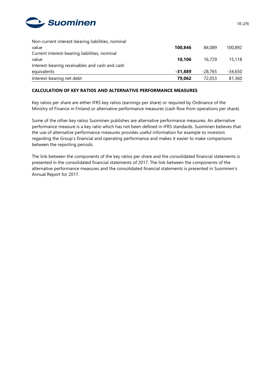

| Non-current interest-bearing liabilities, nominal |           |           |         |
|---------------------------------------------------|-----------|-----------|---------|
| value                                             | 100.846   | 84.089    | 100.892 |
| Current interest-bearing liabilities, nominal     |           |           |         |
| value                                             | 10.106    | 16.729    | 15,118  |
| Interest-bearing receivables and cash and cash    |           |           |         |
| equivalents                                       | $-31.889$ | $-28.765$ | -34,650 |
| Interest-bearing net debt                         | 79,062    | 72,053    | 81,360  |

## **CALCULATION OF KEY RATIOS AND ALTERNATIVE PERFORMANCE MEASURES**

Key ratios per share are either IFRS key ratios (earnings per share) or required by Ordinance of the Ministry of Finance in Finland or alternative performance measures (cash flow from operations per share).

Some of the other key ratios Suominen publishes are alternative performance measures. An alternative performance measure is a key ratio which has not been defined in IFRS standards. Suominen believes that the use of alternative performance measures provides useful information for example to investors regarding the Group's financial and operating performance and makes it easier to make comparisons between the reporting periods.

The link between the components of the key ratios per share and the consolidated financial statements is presented in the consolidated financial statements of 2017. The link between the components of the alternative performance measures and the consolidated financial statements is presented in Suominen's Annual Report for 2017.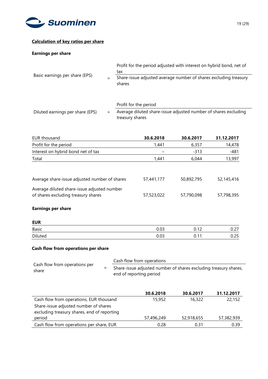

## **Calculation of key ratios per share**

#### **Earnings per share**

| Basic earnings per share (EPS)   |  | Profit for the period adjusted with interest on hybrid bond, net of<br>tax         |  |  |
|----------------------------------|--|------------------------------------------------------------------------------------|--|--|
|                                  |  | Share-issue adjusted average number of shares excluding treasury<br>shares         |  |  |
|                                  |  | Profit for the period                                                              |  |  |
| Diluted earnings per share (EPS) |  | Average diluted share-issue adjusted number of shares excluding<br>treasury shares |  |  |

| EUR thousand                                                                       | 30.6.2018  | 30.6.2017  | 31.12.2017 |
|------------------------------------------------------------------------------------|------------|------------|------------|
| Profit for the period                                                              | 1,441      | 6,357      | 14,478     |
| Interest on hybrid bond net of tax                                                 |            | $-313$     | $-481$     |
| Total                                                                              | 1.441      | 6.044      | 13,997     |
| Average share-issue adjusted number of shares                                      | 57,441,177 | 50,892,795 | 52,145,416 |
|                                                                                    |            |            |            |
| Average diluted share-issue adjusted number<br>of shares excluding treasury shares | 57,523,022 | 57,790,098 | 57,798,395 |

## **Earnings per share**

| <b>EUR</b> |      |                           |                |
|------------|------|---------------------------|----------------|
| Basic      | 0.03 | 12<br>$\sim$<br>1 C<br>U. | $\sim$<br>∪.∠7 |
| Diluted    | 0.03 | -11<br>n.<br>υ.           | 0.25           |

## **Cash flow from operations per share**

|                                        | Cash flow from operations                                                                   |
|----------------------------------------|---------------------------------------------------------------------------------------------|
| Cash flow from operations per<br>share | Share-issue adjusted number of shares excluding treasury shares,<br>end of reporting period |

|                                                                                      | 30.6.2018  | 30.6.2017  | 31.12.2017 |
|--------------------------------------------------------------------------------------|------------|------------|------------|
| Cash flow from operations, EUR thousand                                              | 15,952     | 16,322     | 22,152     |
| Share-issue adjusted number of shares<br>excluding treasury shares, end of reporting |            |            |            |
| period                                                                               | 57,496,249 | 52,918,655 | 57,382,939 |
| Cash flow from operations per share, EUR                                             | 0.28       | በ 31       | 0.39       |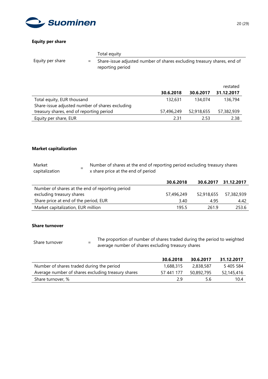

## **Equity per share**

|                  | Total equity                                                                                |
|------------------|---------------------------------------------------------------------------------------------|
| Equity per share | Share-issue adjusted number of shares excluding treasury shares, end of<br>reporting period |

|                                                 |            |            | restated   |
|-------------------------------------------------|------------|------------|------------|
|                                                 | 30.6.2018  | 30.6.2017  | 31.12.2017 |
| Total equity, EUR thousand                      | 132,631    | 134,074    | 136,794    |
| Share-issue adjusted number of shares excluding |            |            |            |
| treasury shares, end of reporting period        | 57,496,249 | 52,918,655 | 57,382,939 |
| Equity per share, EUR                           | 2.31       | 2.53       | 2.38       |

## **Market capitalization**

| Market         | Number of shares at the end of reporting period excluding treasury shares |
|----------------|---------------------------------------------------------------------------|
| capitalization | x share price at the end of period                                        |

|                                                 | 30.6.2018  |            | 30.6.2017 31.12.2017 |
|-------------------------------------------------|------------|------------|----------------------|
| Number of shares at the end of reporting period |            |            |                      |
| excluding treasury shares                       | 57,496,249 | 52,918,655 | 57,382,939           |
| Share price at end of the period, EUR           | 3.40       | 4.95       | 4.42                 |
| Market capitalization, EUR million              | 195.5      | 261.9      | 253.6                |

## **Share turnover**

Share turnover  $=$ The proportion of number of shares traded during the period to weighted average number of shares excluding treasury shares

|                                                    | 30.6.2018  | 30.6.2017  | 31.12.2017 |
|----------------------------------------------------|------------|------------|------------|
| Number of shares traded during the period          | 1,688,315  | 2.838.587  | 5 405 584  |
| Average number of shares excluding treasury shares | 57 441 177 | 50,892,795 | 52,145,416 |
| Share turnover, %                                  | 2 g        | 5.6        | 10.4       |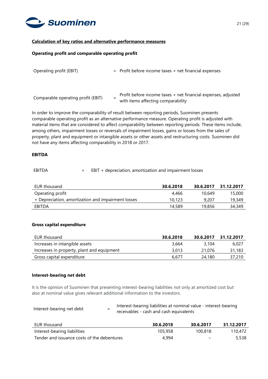

## **Calculation of key ratios and alternative performance measures**

#### **Operating profit and comparable operating profit**

| $=$ Profit before income taxes $+$ net financial expenses                                           |
|-----------------------------------------------------------------------------------------------------|
| Profit before income taxes + net financial expenses, adjusted<br>with items affecting comparability |
|                                                                                                     |

In order to improve the comparability of result between reporting periods, Suominen presents comparable operating profit as an alternative performance measure. Operating profit is adjusted with material items that are considered to affect comparability between reporting periods. These items include, among others, impairment losses or reversals of impairment losses, gains or losses from the sales of property, plant and equipment or intangible assets or other assets and restructuring costs. Suominen did not have any items affecting comparability in 2018 or 2017.

#### **EBITDA**

## EBITDA = EBIT + depreciation, amortization and impairment losses

| EUR thousand                                       | 30.6.2018 | 30.6.2017 | 31.12.2017 |
|----------------------------------------------------|-----------|-----------|------------|
| Operating profit                                   | 4,466     | 10.649    | 15,000     |
| + Depreciation, amortization and impairment losses | 10.123    | 9,207     | 19,349     |
| EBITDA                                             | 14,589    | 19,856    | 34,349     |

#### **Gross capital expenditure**

| EUR thousand                               | 30.6.2018 | 30.6.2017 | 31.12.2017 |
|--------------------------------------------|-----------|-----------|------------|
| Increases in intangible assets             | 3.664     | 3.104     | 6.027      |
| Increases in property, plant and equipment | 3.013     | 21,076    | 31,183     |
| Gross capital expenditure                  | 6.677     | 24,180    | 37,210     |

#### **Interest-bearing net debt**

It is the opinion of Suominen that presenting interest-bearing liabilities not only at amortized cost but also at nominal value gives relevant additional information to the investors.

| Interest-bearing net debt |   | Interest-bearing liabilities at nominal value - interest-bearing |
|---------------------------|---|------------------------------------------------------------------|
|                           | - | receivables - cash and cash equivalents                          |

| EUR thousand                                | 30.6.2018 | 30.6.2017                | 31.12.2017 |
|---------------------------------------------|-----------|--------------------------|------------|
| Interest-bearing liabilities                | 105,958   | 100,818                  | 110.472    |
| Tender and issuance costs of the debentures | 4.994     | $\overline{\phantom{0}}$ | 5,538      |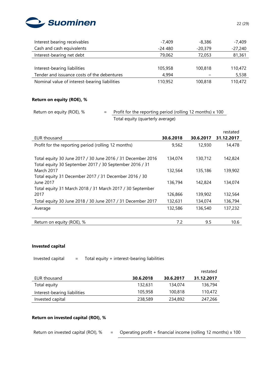

| Interest bearing receivables                  | $-7,409$ | $-8,386$  | $-7,409$  |
|-----------------------------------------------|----------|-----------|-----------|
| Cash and cash equivalents                     | $-24480$ | $-20,379$ | $-27,240$ |
| Interest-bearing net debt                     | 79.062   | 72,053    | 81,361    |
|                                               |          |           |           |
| Interest-bearing liabilities                  | 105,958  | 100,818   | 110,472   |
| Tender and issuance costs of the debentures   | 4,994    |           | 5,538     |
| Nominal value of interest-bearing liabilities | 110,952  | 100,818   | 110,472   |

## **Return on equity (ROE), %**

# Return on equity (ROE),  $% =$  Profit for the reporting period (rolling 12 months) x 100 Total equity (quarterly average)

|                                                             |           |           | restated   |
|-------------------------------------------------------------|-----------|-----------|------------|
| EUR thousand                                                | 30.6.2018 | 30.6.2017 | 31.12.2017 |
| Profit for the reporting period (rolling 12 months)         | 9,562     | 12,930    | 14,478     |
|                                                             |           |           |            |
| Total equity 30 June 2017 / 30 June 2016 / 31 December 2016 | 134,074   | 130,712   | 142,824    |
| Total equity 30 September 2017 / 30 September 2016 / 31     |           |           |            |
| <b>March 2017</b>                                           | 132,564   | 135,186   | 139,902    |
| Total equity 31 December 2017 / 31 December 2016 / 30       |           |           |            |
| June 2017                                                   | 136,794   | 142,824   | 134,074    |
| Total equity 31 March 2018 / 31 March 2017 / 30 September   |           |           |            |
| 2017                                                        | 126,866   | 139,902   | 132,564    |
| Total equity 30 June 2018 / 30 June 2017 / 31 December 2017 | 132,631   | 134,074   | 136,794    |
| Average                                                     | 132,586   | 136,540   | 137,232    |
|                                                             |           |           |            |
| Return on equity (ROE), %                                   | 7.2       | 9.5       | 10.6       |

## **Invested capital**

Invested capital  $=$  Total equity + interest-bearing liabilities

|                              |           |           | restated   |
|------------------------------|-----------|-----------|------------|
| EUR thousand                 | 30.6.2018 | 30.6.2017 | 31.12.2017 |
| Total equity                 | 132,631   | 134,074   | 136,794    |
| Interest-bearing liabilities | 105,958   | 100,818   | 110,472    |
| Invested capital             | 238,589   | 234,892   | 247,266    |

## **Return on invested capital (ROI), %**

Return on invested capital (ROI),  $% =$  Operating profit + financial income (rolling 12 months) x 100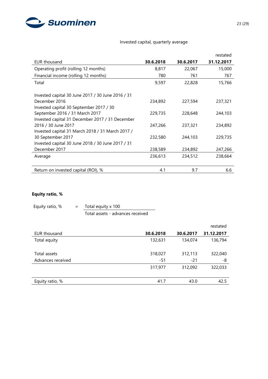

# Invested capital, quarterly average

|                                                   |           |           | restated   |
|---------------------------------------------------|-----------|-----------|------------|
| EUR thousand                                      | 30.6.2018 | 30.6.2017 | 31.12.2017 |
| Operating profit (rolling 12 months)              | 8,817     | 22,067    | 15,000     |
| Financial income (rolling 12 months)              | 780       | 761       | 767        |
| Total                                             | 9,597     | 22,828    | 15,766     |
|                                                   |           |           |            |
| Invested capital 30 June 2017 / 30 June 2016 / 31 |           |           |            |
| December 2016                                     | 234,892   | 227,594   | 237,321    |
| Invested capital 30 September 2017 / 30           |           |           |            |
| September 2016 / 31 March 2017                    | 229,735   | 228,648   | 244,103    |
| Invested capital 31 December 2017 / 31 December   |           |           |            |
| 2016 / 30 June 2017                               | 247,266   | 237,321   | 234,892    |
| Invested capital 31 March 2018 / 31 March 2017 /  |           |           |            |
| 30 September 2017                                 | 232,580   | 244,103   | 229,735    |
| Invested capital 30 June 2018 / 30 June 2017 / 31 |           |           |            |
| December 2017                                     | 238,589   | 234,892   | 247,266    |
| Average                                           | 236,613   | 234,512   | 238,664    |
|                                                   |           |           |            |
| Return on invested capital (ROI), %               | 4.1       | 9.7       | 6.6        |

# **Equity ratio, %**

| Equity ratio, % | Total equity x 100               |
|-----------------|----------------------------------|
|                 | Total assets - advances received |

|                   |           |           | restated   |
|-------------------|-----------|-----------|------------|
| EUR thousand      | 30.6.2018 | 30.6.2017 | 31.12.2017 |
| Total equity      | 132,631   | 134,074   | 136,794    |
| Total assets      | 318,027   | 312,113   | 322,040    |
| Advances received | -51       | $-21$     | -8         |
|                   | 317,977   | 312,092   | 322,033    |
| Equity ratio, %   | 41.7      | 43.0      | 42.5       |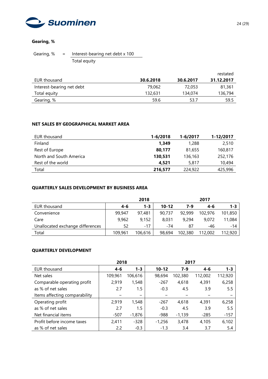

## **Gearing, %**

Gearing,  $% = \frac{Interest-bearing net debt \times 100}{T}$ Total equity

|                           |           |           | restated   |
|---------------------------|-----------|-----------|------------|
| EUR thousand              | 30.6.2018 | 30.6.2017 | 31.12.2017 |
| Interest-bearing net debt | 79.062    | 72,053    | 81,361     |
| Total equity              | 132,631   | 134,074   | 136,794    |
| Gearing, %                | 59.6      | 53.7      | 59.5       |

## **NET SALES BY GEOGRAPHICAL MARKET AREA**

| EUR thousand            | $1 - 6/2018$ | 1-6/2017 | 1-12/2017 |
|-------------------------|--------------|----------|-----------|
| Finland                 | 1.349        | 1,288    | 2,510     |
| Rest of Europe          | 80,177       | 81.655   | 160.817   |
| North and South America | 130,531      | 136,163  | 252,176   |
| Rest of the world       | 4,521        | 5,817    | 10,494    |
| Total                   | 216,577      | 224,922  | 425,996   |

## **QUARTERLY SALES DEVELOPMENT BY BUSINESS AREA**

|                                  |         | 2018    |           |         | 2017    |         |
|----------------------------------|---------|---------|-----------|---------|---------|---------|
| EUR thousand                     | $4 - 6$ | $1 - 3$ | $10 - 12$ | 7-9     | 4-6     | $1 - 3$ |
| Convenience                      | 99,947  | 97,481  | 90.737    | 92,999  | 102,976 | 101,850 |
| Care                             | 9,962   | 9,152   | 8.031     | 9,294   | 9.072   | 11,084  |
| Unallocated exchange differences | 52      | $-17$   | $-74$     | 87      | -46     | $-14$   |
| Total                            | 109,961 | 106,616 | 98,694    | 102,380 | 112,002 | 112,920 |

## **QUARTERLY DEVELOPMENT**

|                               | 2018    |          |           | 2017     |         |         |  |
|-------------------------------|---------|----------|-----------|----------|---------|---------|--|
| EUR thousand                  | 4-6     | $1 - 3$  | $10 - 12$ | 7-9      | $4 - 6$ | $1 - 3$ |  |
| Net sales                     | 109,961 | 106,616  | 98,694    | 102,380  | 112,002 | 112,920 |  |
| Comparable operating profit   | 2,919   | 1,548    | $-267$    | 4,618    | 4,391   | 6,258   |  |
| as % of net sales             | 2.7     | 1.5      | $-0.3$    | 4.5      | 3.9     | 5.5     |  |
| Items affecting comparability |         | -        |           |          |         |         |  |
| Operating profit              | 2,919   | 1,548    | $-267$    | 4,618    | 4,391   | 6,258   |  |
| as % of net sales             | 2.7     | $1.5\,$  | $-0.3$    | 4.5      | 3.9     | 5.5     |  |
| Net financial items           | $-507$  | $-1,876$ | $-988$    | $-1,139$ | $-285$  | $-157$  |  |
| Profit before income taxes    | 2,411   | $-328$   | $-1,256$  | 3,478    | 4,105   | 6,102   |  |
| as % of net sales             | 2.2     | $-0.3$   | $-1.3$    | 3.4      | 3.7     | 5.4     |  |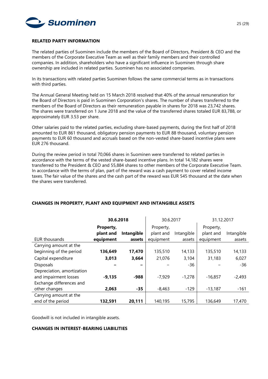

#### **RELATED PARTY INFORMATION**

The related parties of Suominen include the members of the Board of Directors, President & CEO and the members of the Corporate Executive Team as well as their family members and their controlled companies. In addition, shareholders who have a significant influence in Suominen through share ownership are included in related parties. Suominen has no associated companies.

In its transactions with related parties Suominen follows the same commercial terms as in transactions with third parties.

The Annual General Meeting held on 15 March 2018 resolved that 40% of the annual remuneration for the Board of Directors is paid in Suominen Corporation's shares. The number of shares transferred to the members of the Board of Directors as their remuneration payable in shares for 2018 was 23,742 shares. The shares were transferred on 1 June 2018 and the value of the transferred shares totaled EUR 83,788, or approximately EUR 3.53 per share.

Other salaries paid to the related parties, excluding share-based payments, during the first half of 2018 amounted to EUR 861 thousand, obligatory pension payments to EUR 88 thousand, voluntary pension payments to EUR 60 thousand and accruals based on the non-vested share-based incentive plans were EUR 276 thousand.

During the review period in total 70,066 shares in Suominen were transferred to related parties in accordance with the terms of the vested share-based incentive plans. In total 14,182 shares were transferred to the President & CEO and 55,884 shares to other members of the Corporate Executive Team. In accordance with the terms of plan, part of the reward was a cash payment to cover related income taxes. The fair value of the shares and the cash part of the reward was EUR 545 thousand at the date when the shares were transferred.

|                            | 30.6.2018 |            | 30.6.2017 |            | 31.12.2017 |            |
|----------------------------|-----------|------------|-----------|------------|------------|------------|
|                            | Property, |            | Property, |            | Property,  |            |
|                            | plant and | Intangible | plant and | Intangible | plant and  | Intangible |
| EUR thousands              | equipment | assets     | equipment | assets     | equipment  | assets     |
| Carrying amount at the     |           |            |           |            |            |            |
| beginning of the period    | 136,649   | 17,470     | 135,510   | 14,133     | 135,510    | 14,133     |
| Capital expenditure        | 3,013     | 3,664      | 21,076    | 3,104      | 31,183     | 6,027      |
| <b>Disposals</b>           |           |            |           | $-36$      |            | $-36$      |
| Depreciation, amortization |           |            |           |            |            |            |
| and impairment losses      | $-9,135$  | -988       | $-7,929$  | $-1,278$   | $-16,857$  | $-2,493$   |
| Exchange differences and   |           |            |           |            |            |            |
| other changes              | 2,063     | $-35$      | $-8,463$  | $-129$     | $-13,187$  | $-161$     |
| Carrying amount at the     |           |            |           |            |            |            |
| end of the period          | 132,591   | 20,111     | 140,195   | 15,795     | 136,649    | 17,470     |

## **CHANGES IN PROPERTY, PLANT AND EQUIPMENT AND INTANGIBLE ASSETS**

Goodwill is not included in intangible assets.

## **CHANGES IN INTEREST-BEARING LIABILITIES**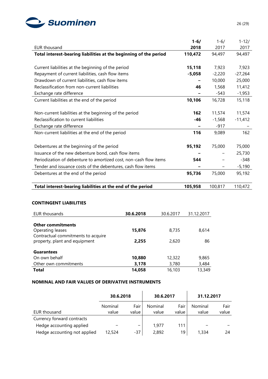

|                                                                   | $1 - 6/$ | $1 - 6/$ | $1 - 12/$ |
|-------------------------------------------------------------------|----------|----------|-----------|
| <b>EUR thousand</b>                                               | 2018     | 2017     | 2017      |
| Total interest-bearing liabilities at the beginning of the period | 110,472  | 94,497   | 94,497    |
|                                                                   |          |          |           |
| Current liabilities at the beginning of the period                | 15,118   | 7,923    | 7,923     |
| Repayment of current liabilities, cash flow items                 | $-5,058$ | $-2,220$ | $-27,264$ |
| Drawdown of current liabilities, cash flow items                  |          | 10,000   | 25,000    |
| Reclassification from non-current liabilities                     | 46       | 1,568    | 11,412    |
| Exchange rate difference                                          |          | $-543$   | $-1,953$  |
| Current liabilities at the end of the period                      | 10,106   | 16,728   | 15,118    |
|                                                                   |          |          |           |
| Non-current liabilities at the beginning of the period            | 162      | 11,574   | 11,574    |
| Reclassification to current liabilities                           | $-46$    | $-1,568$ | $-11,412$ |
| Exchange rate difference                                          |          | $-917$   |           |
| Non-current liabilities at the end of the period                  | 116      | 9,089    | 162       |
|                                                                   |          |          |           |
| Debentures at the beginning of the period                         | 95,192   | 75,000   | 75,000    |
| Issuance of the new debenture bond, cash flow items               |          |          | 25,730    |
| Periodization of debenture to amortized cost, non-cash flow items | 544      |          | $-348$    |
| Tender and issuance costs of the debentures, cash flow items      |          |          | $-5,190$  |
| Debentures at the end of the period                               | 95,736   | 75,000   | 95,192    |
|                                                                   |          |          |           |
| Total interest-bearing liabilities at the end of the period       | 105,958  | 100,817  | 110,472   |

## **CONTINGENT LIABILITIES**

| EUR thousands                                                       | 30.6.2018 | 30.6.2017 | 31.12.2017 |
|---------------------------------------------------------------------|-----------|-----------|------------|
| <b>Other commitments</b><br>Operating leases                        | 15,876    | 8,735     | 8,614      |
| Contractual commitments to acquire<br>property, plant and equipment | 2,255     | 2,620     | 86         |
| <b>Guarantees</b>                                                   |           |           |            |
| On own behalf                                                       | 10,880    | 12,322    | 9,865      |
| Other own commitments                                               | 3,178     | 3,780     | 3,484      |
| <b>Total</b>                                                        | 14,058    | 16,103    | 13,349     |

## **NOMINAL AND FAIR VALUES OF DERIVATIVE INSTRUMENTS**

|                              | 30.6.2018 |       | 30.6.2017 |       | 31.12.2017 |       |
|------------------------------|-----------|-------|-----------|-------|------------|-------|
|                              | Nominal   | Fair  | Nominal   | Fair  | Nominal    | Fair  |
| EUR thousand                 | value     | value | value     | value | value      | value |
| Currency forward contracts   |           |       |           |       |            |       |
| Hedge accounting applied     |           | -     | 1.977     | 111   |            |       |
| Hedge accounting not applied | 12,524    | $-37$ | 2,892     | 19    | 1,334      | 24    |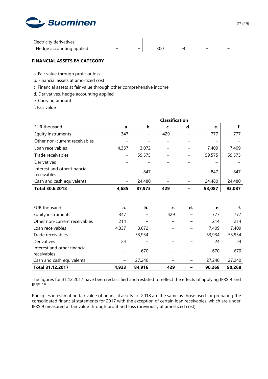

| Electricity derivatives  |                          |     |  |  |
|--------------------------|--------------------------|-----|--|--|
| Hedge accounting applied | $\overline{\phantom{0}}$ | 300 |  |  |

## **FINANCIAL ASSETS BY CATEGORY**

a. Fair value through profit or loss

- b. Financial assets at amortized cost
- c. Financial assets at fair value through other comprehensive income
- d. Derivatives, hedge accounting applied
- e. Carrying amount
- f. Fair value

|                                             | <b>Classification</b>    |        |     |    |        |        |
|---------------------------------------------|--------------------------|--------|-----|----|--------|--------|
| EUR thousand                                | a.                       | b.     | c.  | d. | e.     | f.     |
| Equity instruments                          | 347                      |        | 429 |    | 777    | 777    |
| Other non-current receivables               |                          |        |     |    |        |        |
| Loan receivables                            | 4,337                    | 3,072  |     |    | 7,409  | 7,409  |
| Trade receivables                           | $\overline{\phantom{0}}$ | 59,575 |     |    | 59,575 | 59,575 |
| Derivatives                                 |                          |        |     |    |        |        |
| Interest and other financial<br>receivables |                          | 847    |     |    | 847    | 847    |
| Cash and cash equivalents                   |                          | 24,480 |     |    | 24,480 | 24,480 |
| <b>Total 30.6.2018</b>                      | 4,685                    | 87,973 | 429 |    | 93,087 | 93,087 |

| EUR thousand                                | а.                       | b.     | c.  | d. | e.     | f.     |
|---------------------------------------------|--------------------------|--------|-----|----|--------|--------|
| Equity instruments                          | 347                      |        | 429 |    | 777    | 777    |
| Other non-current receivables               | 214                      |        |     |    | 214    | 214    |
| Loan receivables                            | 4,337                    | 3.072  |     |    | 7,409  | 7,409  |
| Trade receivables                           | $\overline{\phantom{m}}$ | 53,934 |     |    | 53,934 | 53,934 |
| Derivatives                                 | 24                       |        |     |    | 24     | 24     |
| Interest and other financial<br>receivables |                          | 670    |     |    | 670    | 670    |
| Cash and cash equivalents                   |                          | 27,240 |     |    | 27,240 | 27,240 |
| <b>Total 31.12.2017</b>                     | 4.923                    | 84,916 | 429 |    | 90,268 | 90,268 |

The figures for 31.12.2017 have been reclassified and restated to reflect the effects of applying IFRS 9 and IFRS 15.

Principles in estimating fair value of financial assets for 2018 are the same as those used for preparing the consolidated financial statements for 2017 with the exception of certain loan receivables, which are under IFRS 9 measured at fair value through profit and loss (previously at amortized cost).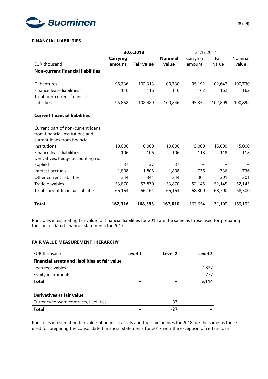

## **FINANCIAL LIABILITIES**

|                                          | 30.6.2018       |                   |                | 31.12.2017 |         |         |
|------------------------------------------|-----------------|-------------------|----------------|------------|---------|---------|
|                                          | <b>Carrying</b> |                   | <b>Nominal</b> | Carrying   | Fair    | Nominal |
| <b>EUR thousand</b>                      | amount          | <b>Fair value</b> | value          | amount     | value   | value   |
| <b>Non-current financial liabilities</b> |                 |                   |                |            |         |         |
|                                          |                 |                   |                |            |         |         |
| Debentures                               | 95,736          | 102,313           | 100,730        | 95,192     | 102,647 | 100,730 |
| Finance lease liabilities                | 116             | 116               | 116            | 162        | 162     | 162     |
| Total non-current financial              |                 |                   |                |            |         |         |
| liabilities                              | 95,852          | 102,429           | 100,846        | 95,354     | 102,809 | 100,892 |
|                                          |                 |                   |                |            |         |         |
| <b>Current financial liabilities</b>     |                 |                   |                |            |         |         |
|                                          |                 |                   |                |            |         |         |
| Current part of non-current loans        |                 |                   |                |            |         |         |
| from financial institutions and          |                 |                   |                |            |         |         |
| current loans from financial             |                 |                   |                |            |         |         |
| institutions                             | 10,000          | 10,000            | 10,000         | 15,000     | 15,000  | 15,000  |
| Finance lease liabilities                | 106             | 106               | 106            | 118        | 118     | 118     |
| Derivatives, hedge accounting not        |                 |                   |                |            |         |         |
| applied                                  | 37              | 37                | 37             |            |         |         |
| Interest accruals                        | 1,808           | 1,808             | 1,808          | 736        | 736     | 736     |
| Other current liabilities                | 344             | 344               | 344            | 301        | 301     | 301     |
| Trade payables                           | 53,870          | 53,870            | 53,870         | 52,145     | 52,145  | 52,145  |
| Total current financial liabilities      | 66,164          | 66,164            | 66,164         | 68,300     | 68,300  | 68,300  |
|                                          |                 |                   |                |            |         |         |
| Total                                    | 162,016         | 168,593           | 167,010        | 163,654    | 171,109 | 169,192 |

Principles in estimating fair value for financial liabilities for 2018 are the same as those used for preparing the consolidated financial statements for 2017.

## **FAIR VALUE MEASUREMENT HIERARCHY**

| EUR thousands                                         | Level 1 | Level 2 | Level 3 |
|-------------------------------------------------------|---------|---------|---------|
| <b>Financial assets and liabilities at fair value</b> |         |         |         |
| Loan receivables                                      |         |         | 4,337   |
| Equity instruments                                    |         |         | 777     |
| <b>Total</b>                                          |         |         | 5,114   |
|                                                       |         |         |         |
| Derivatives at fair value                             |         |         |         |
| Currency forward contracts, liabilities               |         | -37     |         |
| <b>Total</b>                                          |         | -37     |         |

Principles in estimating fair value of financial assets and their hierarchies for 2018 are the same as those used for preparing the consolidated financial statements for 2017 with the exception of certain loan